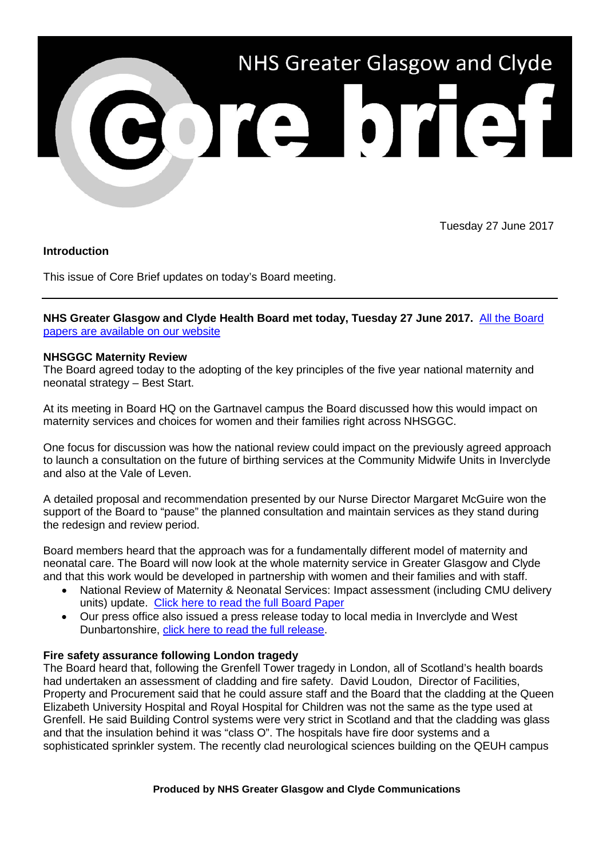

Tuesday 27 June 2017

## **Introduction**

This issue of Core Brief updates on today's Board meeting.

# **NHS Greater Glasgow and Clyde Health Board met today, Tuesday 27 June 2017.** [All the Board](http://www.nhsggc.org.uk/about-us/nhs-board/board-meetings-and-papers/papers/2017/)  [papers are available on our website](http://www.nhsggc.org.uk/about-us/nhs-board/board-meetings-and-papers/papers/2017/)

### **NHSGGC Maternity Review**

The Board agreed today to the adopting of the key principles of the five year national maternity and neonatal strategy – Best Start.

At its meeting in Board HQ on the Gartnavel campus the Board discussed how this would impact on maternity services and choices for women and their families right across NHSGGC.

One focus for discussion was how the national review could impact on the previously agreed approach to launch a consultation on the future of birthing services at the Community Midwife Units in Inverclyde and also at the Vale of Leven.

A detailed proposal and recommendation presented by our Nurse Director Margaret McGuire won the support of the Board to "pause" the planned consultation and maintain services as they stand during the redesign and review period.

Board members heard that the approach was for a fundamentally different model of maternity and neonatal care. The Board will now look at the whole maternity service in Greater Glasgow and Clyde and that this work would be developed in partnership with women and their families and with staff.

- National Review of Maternity & Neonatal Services: Impact assessment (including CMU delivery units) update. [Click here to read the full Board Paper](http://www.nhsggc.org.uk/media/242655/item-03b-board-paper-cmu.pdf)
- Our press office also issued a press release today to local media in Inverclyde and West Dunbartonshire, [click here to read the full release.](http://www.nhsggc.org.uk/about-us/media-centre/news/2017/06/national-maternity-plan-principles/)

## **Fire safety assurance following London tragedy**

The Board heard that, following the Grenfell Tower tragedy in London, all of Scotland's health boards had undertaken an assessment of cladding and fire safety. David Loudon, Director of Facilities, Property and Procurement said that he could assure staff and the Board that the cladding at the Queen Elizabeth University Hospital and Royal Hospital for Children was not the same as the type used at Grenfell. He said Building Control systems were very strict in Scotland and that the cladding was glass and that the insulation behind it was "class O". The hospitals have fire door systems and a sophisticated sprinkler system. The recently clad neurological sciences building on the QEUH campus